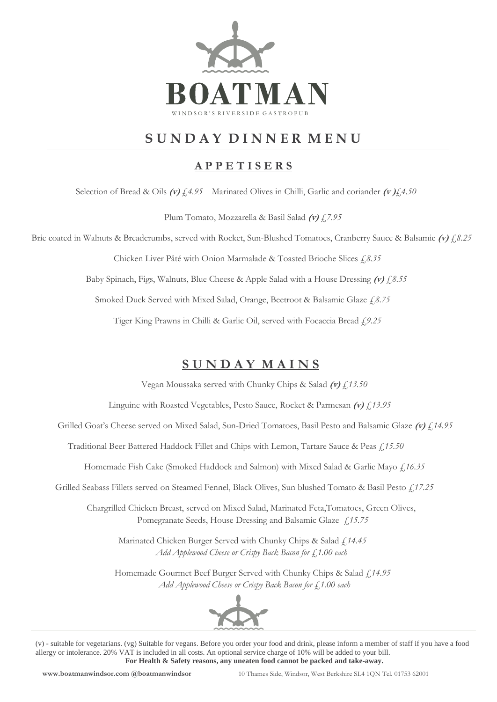

# **S U N D A Y D I N N E R M E N U**

### **A P P E T I S E R S**

Selection of Bread & Oils **(v)** *£4.95* Marinated Olives in Chilli, Garlic and coriander **(v )***£4.50*

Plum Tomato, Mozzarella & Basil Salad **(v)** *£7.95* 

Brie coated in Walnuts & Breadcrumbs, served with Rocket, Sun-Blushed Tomatoes, Cranberry Sauce & Balsamic **(v)** *£8.25*

Chicken Liver Pâté with Onion Marmalade & Toasted Brioche Slices *£8.35*

Baby Spinach, Figs, Walnuts, Blue Cheese & Apple Salad with a House Dressing **(v)** *£8.55* 

Smoked Duck Served with Mixed Salad, Orange, Beetroot & Balsamic Glaze *£8.75* 

Tiger King Prawns in Chilli & Garlic Oil, served with Focaccia Bread £*9.25*

## **S U N D A Y M A I N S**

Vegan Moussaka served with Chunky Chips & Salad **(v)** *£13.50* 

Linguine with Roasted Vegetables, Pesto Sauce, Rocket & Parmesan **(v)** *£13.95*

Grilled Goat's Cheese served on Mixed Salad, Sun-Dried Tomatoes, Basil Pesto and Balsamic Glaze **(v)** *£14.95* 

Traditional Beer Battered Haddock Fillet and Chips with Lemon, Tartare Sauce & Peas *£15.50*

Homemade Fish Cake (Smoked Haddock and Salmon) with Mixed Salad & Garlic Mayo *£16.35*

Grilled Seabass Fillets served on Steamed Fennel, Black Olives, Sun blushed Tomato & Basil Pesto *£17.25* 

 Chargrilled Chicken Breast, served on Mixed Salad, Marinated Feta,Tomatoes, Green Olives, Pomegranate Seeds, House Dressing and Balsamic Glaze £*15.75*

 Marinated Chicken Burger Served with Chunky Chips & Salad *£14.45 Add Applewood Cheese or Crispy Back Bacon for £1.00 each*

Homemade Gourmet Beef Burger Served with Chunky Chips & Salad *£14.95 Add Applewood Cheese or Crispy Back Bacon for £1.00 each*



(v) - suitable for vegetarians. (vg) Suitable for vegans. Before you order your food and drink, please inform a member of staff if you have a food allergy or intolerance. 20% VAT is included in all costs. An optional service charge of 10% will be added to your bill. **For Health & Safety reasons, any uneaten food cannot be packed and take-away.**